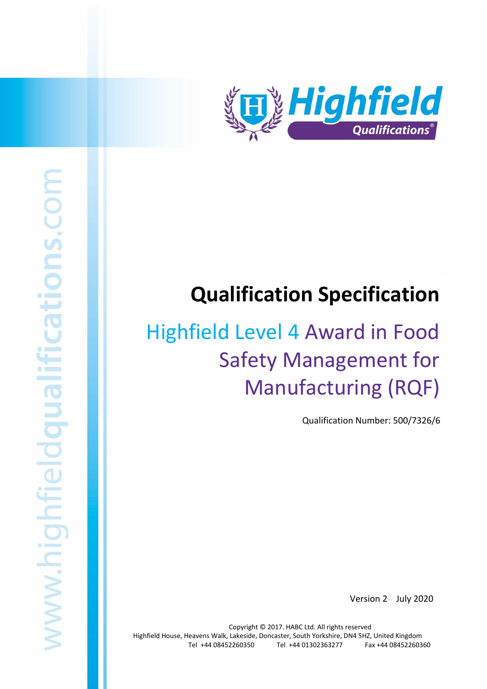

# **Qualification Specification**

# Highfield Level 4 Award in Food Safety Management for Manufacturing (RQF)

Qualification Number: 500/7326/6

Version 2 July 2020

Copyright © 2017. HABC Ltd. All rights reserved Highfield House, Heavens Walk, Lakeside, Doncaster, South Yorkshire, DN4 5HZ, United Kingdom Tel +44 08452260350 Tel +44 01302363277 Fax +44 08452260360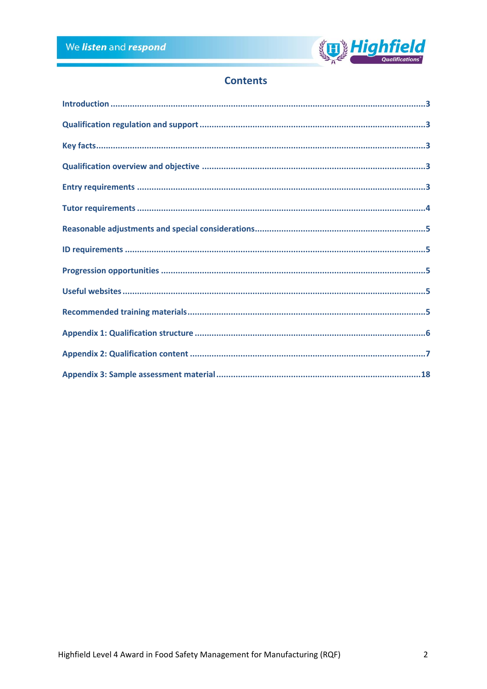

# **Contents**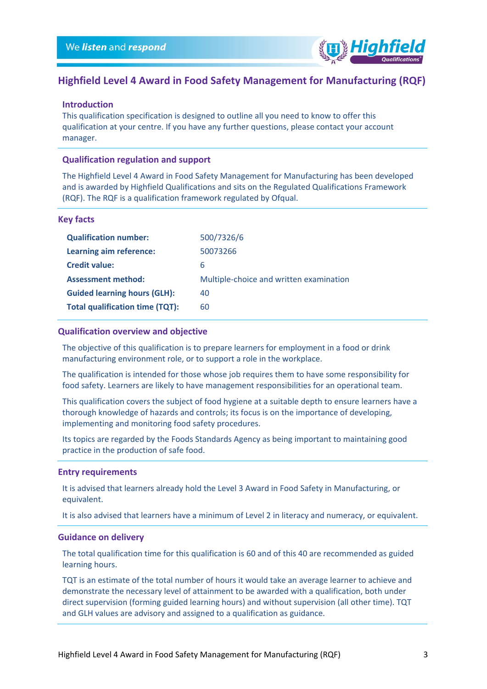

# **Highfield Level 4 Award in Food Safety Management for Manufacturing (RQF)**

### <span id="page-2-0"></span>**Introduction**

This qualification specification is designed to outline all you need to know to offer this qualification at your centre. If you have any further questions, please contact your account manager.

### <span id="page-2-1"></span>**Qualification regulation and support**

The Highfield Level 4 Award in Food Safety Management for Manufacturing has been developed and is awarded by Highfield Qualifications and sits on the Regulated Qualifications Framework (RQF). The RQF is a qualification framework regulated by Ofqual.

### <span id="page-2-2"></span>**Key facts**

| Learning aim reference:<br>50073266<br><b>Credit value:</b><br>6<br><b>Assessment method:</b><br>Multiple-choice and written examination<br><b>Guided learning hours (GLH):</b><br>40<br><b>Total qualification time (TQT):</b><br>60 | <b>Qualification number:</b> | 500/7326/6 |
|---------------------------------------------------------------------------------------------------------------------------------------------------------------------------------------------------------------------------------------|------------------------------|------------|
|                                                                                                                                                                                                                                       |                              |            |
|                                                                                                                                                                                                                                       |                              |            |
|                                                                                                                                                                                                                                       |                              |            |
|                                                                                                                                                                                                                                       |                              |            |
|                                                                                                                                                                                                                                       |                              |            |

### <span id="page-2-3"></span>**Qualification overview and objective**

The objective of this qualification is to prepare learners for employment in a food or drink manufacturing environment role, or to support a role in the workplace.

The qualification is intended for those whose job requires them to have some responsibility for food safety. Learners are likely to have management responsibilities for an operational team.

This qualification covers the subject of food hygiene at a suitable depth to ensure learners have a thorough knowledge of hazards and controls; its focus is on the importance of developing, implementing and monitoring food safety procedures.

Its topics are regarded by the Foods Standards Agency as being important to maintaining good practice in the production of safe food.

### <span id="page-2-4"></span>**Entry requirements**

It is advised that learners already hold the Level 3 Award in Food Safety in Manufacturing, or equivalent.

It is also advised that learners have a minimum of Level 2 in literacy and numeracy, or equivalent.

### **Guidance on delivery**

The total qualification time for this qualification is 60 and of this 40 are recommended as guided learning hours.

TQT is an estimate of the total number of hours it would take an average learner to achieve and demonstrate the necessary level of attainment to be awarded with a qualification, both under direct supervision (forming guided learning hours) and without supervision (all other time). TQT and GLH values are advisory and assigned to a qualification as guidance.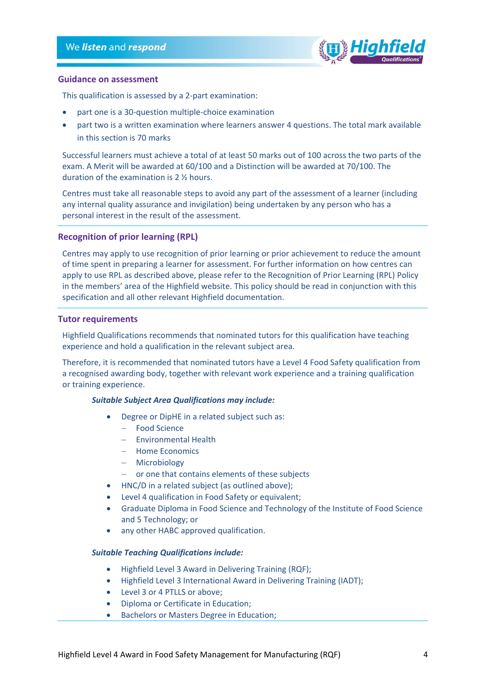

### **Guidance on assessment**

This qualification is assessed by a 2-part examination:

- part one is a 30-question multiple-choice examination
- part two is a written examination where learners answer 4 questions. The total mark available in this section is 70 marks

Successful learners must achieve a total of at least 50 marks out of 100 across the two parts of the exam. A Merit will be awarded at 60/100 and a Distinction will be awarded at 70/100. The duration of the examination is 2 ½ hours.

Centres must take all reasonable steps to avoid any part of the assessment of a learner (including any internal quality assurance and invigilation) being undertaken by any person who has a personal interest in the result of the assessment.

### **Recognition of prior learning (RPL)**

Centres may apply to use recognition of prior learning or prior achievement to reduce the amount of time spent in preparing a learner for assessment. For further information on how centres can apply to use RPL as described above, please refer to the Recognition of Prior Learning (RPL) Policy in the members' area of the Highfield website. This policy should be read in conjunction with this specification and all other relevant Highfield documentation.

### <span id="page-3-0"></span>**Tutor requirements**

Highfield Qualifications recommends that nominated tutors for this qualification have teaching experience and hold a qualification in the relevant subject area.

Therefore, it is recommended that nominated tutors have a Level 4 Food Safety qualification from a recognised awarding body, together with relevant work experience and a training qualification or training experience.

### *Suitable Subject Area Qualifications may include:*

- Degree or DipHE in a related subject such as:
	- − Food Science
	- − Environmental Health
	- − Home Economics
	- − Microbiology
	- − or one that contains elements of these subjects
- HNC/D in a related subject (as outlined above);
- Level 4 qualification in Food Safety or equivalent;
- Graduate Diploma in Food Science and Technology of the Institute of Food Science and 5 Technology; or
- any other HABC approved qualification.

### *Suitable Teaching Qualifications include:*

- Highfield Level 3 Award in Delivering Training (RQF);
- Highfield Level 3 International Award in Delivering Training (IADT);
- Level 3 or 4 PTLLS or above;
- Diploma or Certificate in Education;
- Bachelors or Masters Degree in Education;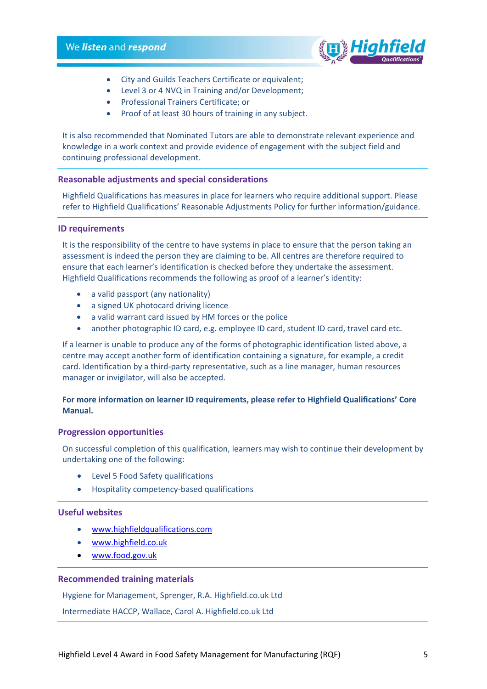

- City and Guilds Teachers Certificate or equivalent;
- Level 3 or 4 NVQ in Training and/or Development;
- Professional Trainers Certificate; or
- Proof of at least 30 hours of training in any subject.

It is also recommended that Nominated Tutors are able to demonstrate relevant experience and knowledge in a work context and provide evidence of engagement with the subject field and continuing professional development.

### <span id="page-4-0"></span>**Reasonable adjustments and special considerations**

Highfield Qualifications has measures in place for learners who require additional support. Please refer to Highfield Qualifications' Reasonable Adjustments Policy for further information/guidance.

### <span id="page-4-1"></span>**ID requirements**

It is the responsibility of the centre to have systems in place to ensure that the person taking an assessment is indeed the person they are claiming to be. All centres are therefore required to ensure that each learner's identification is checked before they undertake the assessment. Highfield Qualifications recommends the following as proof of a learner's identity:

- a valid passport (any nationality)
- a signed UK photocard driving licence
- a valid warrant card issued by HM forces or the police
- another photographic ID card, e.g. employee ID card, student ID card, travel card etc.

If a learner is unable to produce any of the forms of photographic identification listed above, a centre may accept another form of identification containing a signature, for example, a credit card. Identification by a third-party representative, such as a line manager, human resources manager or invigilator, will also be accepted.

### **For more information on learner ID requirements, please refer to Highfield Qualifications' Core Manual.**

### <span id="page-4-2"></span>**Progression opportunities**

On successful completion of this qualification, learners may wish to continue their development by undertaking one of the following:

- Level 5 Food Safety qualifications
- Hospitality competency-based qualifications

### <span id="page-4-3"></span>**Useful websites**

- [www.highfieldqualifications.com](http://www.highfieldqualifications.com/)
- [www.highfield.co.uk](http://www.highfield.co.uk/)
- [www.food.gov.uk](http://www.food.gov.uk/)

### <span id="page-4-4"></span>**Recommended training materials**

Hygiene for Management, Sprenger, R.A. Highfield.co.uk Ltd

Intermediate HACCP, Wallace, Carol A. Highfield.co.uk Ltd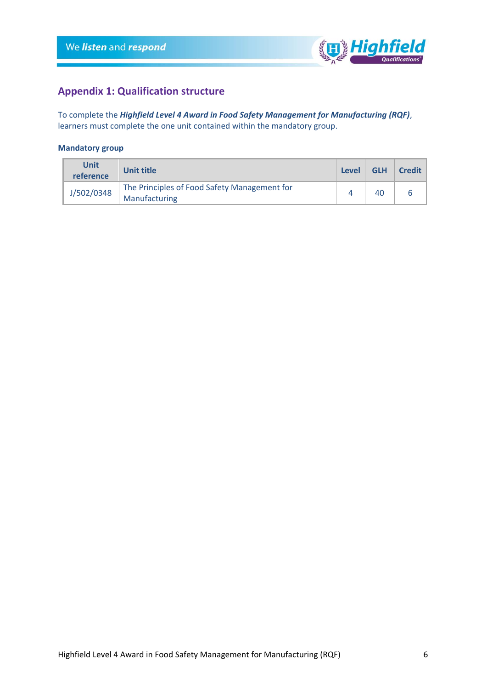

# <span id="page-5-0"></span>**Appendix 1: Qualification structure**

To complete the *Highfield Level 4 Award in Food Safety Management for Manufacturing (RQF)*, learners must complete the one unit contained within the mandatory group.

### **Mandatory group**

| <b>Unit</b><br>reference | <b>Unit title</b>                                             | Level | <b>GLH</b> | Credit |
|--------------------------|---------------------------------------------------------------|-------|------------|--------|
| J/502/0348               | The Principles of Food Safety Management for<br>Manufacturing |       |            |        |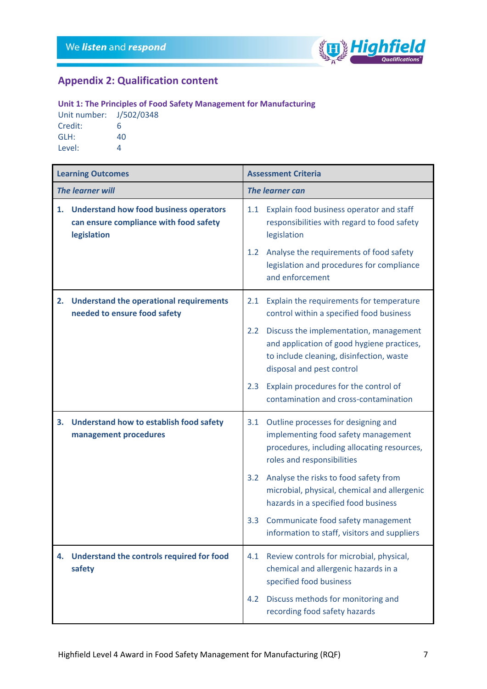

# <span id="page-6-0"></span>**Appendix 2: Qualification content**

## **Unit 1: The Principles of Food Safety Management for Manufacturing**

Unit number: J/502/0348 Credit: 6 GLH: 40 Level: 4

|    | <b>Learning Outcomes</b>                                                                               |                  | <b>Assessment Criteria</b>                                                                                                                                    |
|----|--------------------------------------------------------------------------------------------------------|------------------|---------------------------------------------------------------------------------------------------------------------------------------------------------------|
|    | The learner will                                                                                       |                  | <b>The learner can</b>                                                                                                                                        |
| 1. | <b>Understand how food business operators</b><br>can ensure compliance with food safety<br>legislation | 1.1              | Explain food business operator and staff<br>responsibilities with regard to food safety<br>legislation                                                        |
|    |                                                                                                        | 1.2              | Analyse the requirements of food safety<br>legislation and procedures for compliance<br>and enforcement                                                       |
| 2. | <b>Understand the operational requirements</b><br>needed to ensure food safety                         | 2.1              | Explain the requirements for temperature<br>control within a specified food business                                                                          |
|    |                                                                                                        | $2.2^{\circ}$    | Discuss the implementation, management<br>and application of good hygiene practices,<br>to include cleaning, disinfection, waste<br>disposal and pest control |
|    |                                                                                                        | 2.3              | Explain procedures for the control of<br>contamination and cross-contamination                                                                                |
| 3. | <b>Understand how to establish food safety</b><br>management procedures                                | 3.1              | Outline processes for designing and<br>implementing food safety management<br>procedures, including allocating resources,<br>roles and responsibilities       |
|    |                                                                                                        | 3.2              | Analyse the risks to food safety from<br>microbial, physical, chemical and allergenic<br>hazards in a specified food business                                 |
|    |                                                                                                        | 3.3 <sub>1</sub> | Communicate food safety management<br>information to staff, visitors and suppliers                                                                            |
| 4. | Understand the controls required for food<br>safety                                                    | 4.1              | Review controls for microbial, physical,<br>chemical and allergenic hazards in a<br>specified food business                                                   |
|    |                                                                                                        | 4.2              | Discuss methods for monitoring and<br>recording food safety hazards                                                                                           |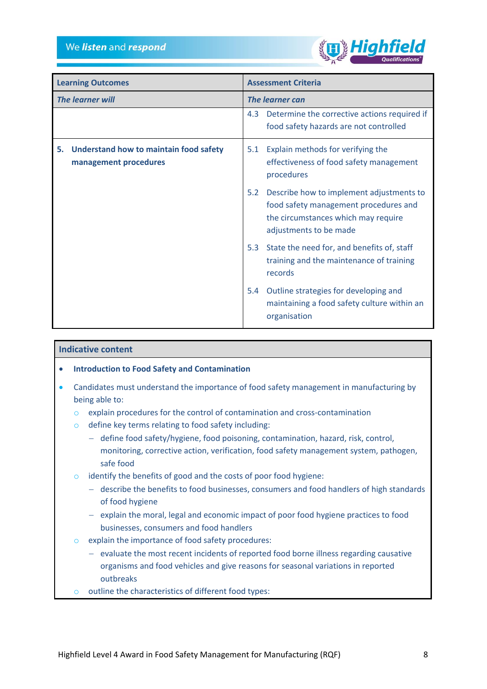

| <b>Learning Outcomes</b>                                              | <b>Assessment Criteria</b>                                                                                                                                |  |
|-----------------------------------------------------------------------|-----------------------------------------------------------------------------------------------------------------------------------------------------------|--|
| The learner will                                                      | The learner can                                                                                                                                           |  |
|                                                                       | Determine the corrective actions required if<br>4.3<br>food safety hazards are not controlled                                                             |  |
| Understand how to maintain food safety<br>5.<br>management procedures | Explain methods for verifying the<br>5.1<br>effectiveness of food safety management<br>procedures                                                         |  |
|                                                                       | 5.2<br>Describe how to implement adjustments to<br>food safety management procedures and<br>the circumstances which may require<br>adjustments to be made |  |
|                                                                       | 5.3<br>State the need for, and benefits of, staff<br>training and the maintenance of training<br>records                                                  |  |
|                                                                       | Outline strategies for developing and<br>5.4<br>maintaining a food safety culture within an<br>organisation                                               |  |

### **Indicative content**

- **Introduction to Food Safety and Contamination**
- Candidates must understand the importance of food safety management in manufacturing by being able to:
	- o explain procedures for the control of contamination and cross-contamination
	- o define key terms relating to food safety including:
		- − define food safety/hygiene, food poisoning, contamination, hazard, risk, control, monitoring, corrective action, verification, food safety management system, pathogen, safe food
	- o identify the benefits of good and the costs of poor food hygiene:
		- − describe the benefits to food businesses, consumers and food handlers of high standards of food hygiene
		- − explain the moral, legal and economic impact of poor food hygiene practices to food businesses, consumers and food handlers
	- o explain the importance of food safety procedures:
		- − evaluate the most recent incidents of reported food borne illness regarding causative organisms and food vehicles and give reasons for seasonal variations in reported outbreaks
	- o outline the characteristics of different food types: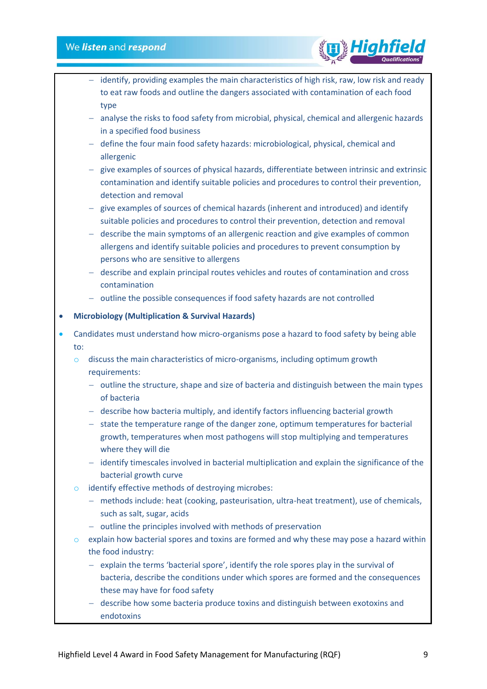- − identify, providing examples the main characteristics of high risk, raw, low risk and ready to eat raw foods and outline the dangers associated with contamination of each food type
- − analyse the risks to food safety from microbial, physical, chemical and allergenic hazards in a specified food business
- − define the four main food safety hazards: microbiological, physical, chemical and allergenic
- − give examples of sources of physical hazards, differentiate between intrinsic and extrinsic contamination and identify suitable policies and procedures to control their prevention, detection and removal
- − give examples of sources of chemical hazards (inherent and introduced) and identify suitable policies and procedures to control their prevention, detection and removal
- − describe the main symptoms of an allergenic reaction and give examples of common allergens and identify suitable policies and procedures to prevent consumption by persons who are sensitive to allergens
- − describe and explain principal routes vehicles and routes of contamination and cross contamination
- − outline the possible consequences if food safety hazards are not controlled

### • **Microbiology (Multiplication & Survival Hazards)**

- Candidates must understand how micro-organisms pose a hazard to food safety by being able to:
	- o discuss the main characteristics of micro-organisms, including optimum growth requirements:
		- − outline the structure, shape and size of bacteria and distinguish between the main types of bacteria
		- − describe how bacteria multiply, and identify factors influencing bacterial growth
		- − state the temperature range of the danger zone, optimum temperatures for bacterial growth, temperatures when most pathogens will stop multiplying and temperatures where they will die
		- − identify timescales involved in bacterial multiplication and explain the significance of the bacterial growth curve
	- o identify effective methods of destroying microbes:
		- − methods include: heat (cooking, pasteurisation, ultra-heat treatment), use of chemicals, such as salt, sugar, acids
		- − outline the principles involved with methods of preservation
	- $\circ$  explain how bacterial spores and toxins are formed and why these may pose a hazard within the food industry:
		- − explain the terms 'bacterial spore', identify the role spores play in the survival of bacteria, describe the conditions under which spores are formed and the consequences these may have for food safety
		- − describe how some bacteria produce toxins and distinguish between exotoxins and endotoxins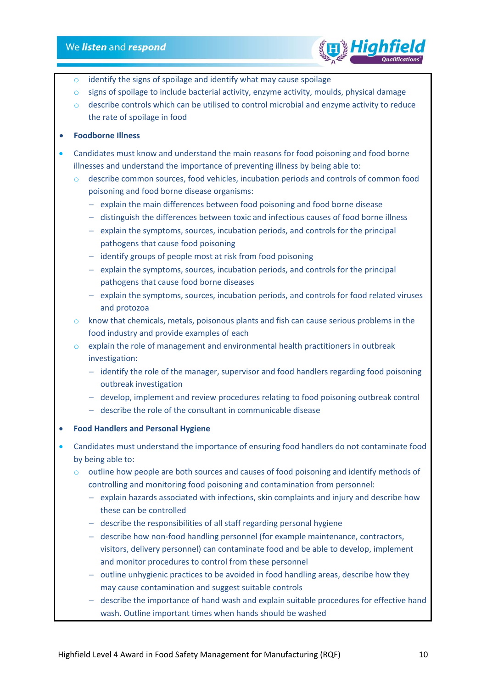

- $\circ$  identify the signs of spoilage and identify what may cause spoilage
- $\circ$  signs of spoilage to include bacterial activity, enzyme activity, moulds, physical damage
- $\circ$  describe controls which can be utilised to control microbial and enzyme activity to reduce the rate of spoilage in food
- **Foodborne Illness**
- Candidates must know and understand the main reasons for food poisoning and food borne illnesses and understand the importance of preventing illness by being able to:
	- describe common sources, food vehicles, incubation periods and controls of common food poisoning and food borne disease organisms:
		- − explain the main differences between food poisoning and food borne disease
		- − distinguish the differences between toxic and infectious causes of food borne illness
		- − explain the symptoms, sources, incubation periods, and controls for the principal pathogens that cause food poisoning
		- − identify groups of people most at risk from food poisoning
		- − explain the symptoms, sources, incubation periods, and controls for the principal pathogens that cause food borne diseases
		- − explain the symptoms, sources, incubation periods, and controls for food related viruses and protozoa
	- $\circ$  know that chemicals, metals, poisonous plants and fish can cause serious problems in the food industry and provide examples of each
	- $\circ$  explain the role of management and environmental health practitioners in outbreak investigation:
		- − identify the role of the manager, supervisor and food handlers regarding food poisoning outbreak investigation
		- − develop, implement and review procedures relating to food poisoning outbreak control
		- − describe the role of the consultant in communicable disease
- **Food Handlers and Personal Hygiene**
- Candidates must understand the importance of ensuring food handlers do not contaminate food by being able to:
	- $\circ$  outline how people are both sources and causes of food poisoning and identify methods of controlling and monitoring food poisoning and contamination from personnel:
		- − explain hazards associated with infections, skin complaints and injury and describe how these can be controlled
		- − describe the responsibilities of all staff regarding personal hygiene
		- − describe how non-food handling personnel (for example maintenance, contractors, visitors, delivery personnel) can contaminate food and be able to develop, implement and monitor procedures to control from these personnel
		- − outline unhygienic practices to be avoided in food handling areas, describe how they may cause contamination and suggest suitable controls
		- − describe the importance of hand wash and explain suitable procedures for effective hand wash. Outline important times when hands should be washed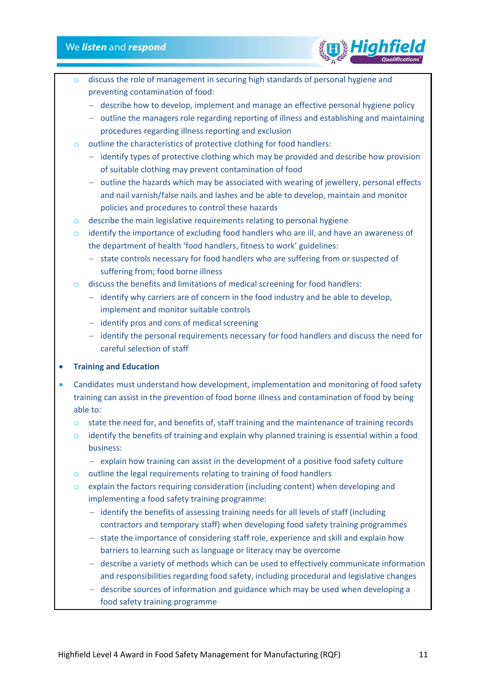

- discuss the role of management in securing high standards of personal hygiene and preventing contamination of food:
	- − describe how to develop, implement and manage an effective personal hygiene policy
	- − outline the managers role regarding reporting of illness and establishing and maintaining procedures regarding illness reporting and exclusion
- o outline the characteristics of protective clothing for food handlers:
	- − identify types of protective clothing which may be provided and describe how provision of suitable clothing may prevent contamination of food
	- − outline the hazards which may be associated with wearing of jewellery, personal effects and nail varnish/false nails and lashes and be able to develop, maintain and monitor policies and procedures to control these hazards
- o describe the main legislative requirements relating to personal hygiene
- o identify the importance of excluding food handlers who are ill, and have an awareness of the department of health 'food handlers, fitness to work' guidelines:
	- − state controls necessary for food handlers who are suffering from or suspected of suffering from; food borne illness
- o discuss the benefits and limitations of medical screening for food handlers:
	- − identify why carriers are of concern in the food industry and be able to develop, implement and monitor suitable controls
	- − identify pros and cons of medical screening
	- − identify the personal requirements necessary for food handlers and discuss the need for careful selection of staff

### • **Training and Education**

- Candidates must understand how development, implementation and monitoring of food safety training can assist in the prevention of food borne illness and contamination of food by being able to:
	- o state the need for, and benefits of, staff training and the maintenance of training records
	- $\circ$  identify the benefits of training and explain why planned training is essential within a food business:
		- − explain how training can assist in the development of a positive food safety culture
	- o outline the legal requirements relating to training of food handlers
	- $\circ$  explain the factors requiring consideration (including content) when developing and implementing a food safety training programme:
		- − identify the benefits of assessing training needs for all levels of staff (including contractors and temporary staff) when developing food safety training programmes
		- − state the importance of considering staff role, experience and skill and explain how barriers to learning such as language or literacy may be overcome
		- − describe a variety of methods which can be used to effectively communicate information and responsibilities regarding food safety, including procedural and legislative changes
		- − describe sources of information and guidance which may be used when developing a food safety training programme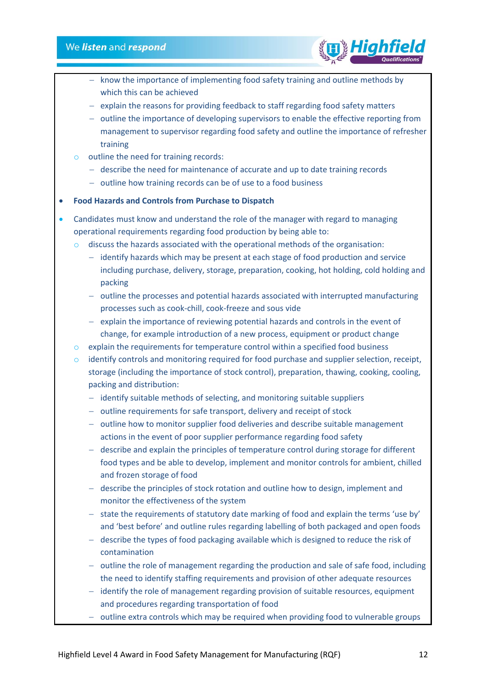

- − know the importance of implementing food safety training and outline methods by which this can be achieved
- − explain the reasons for providing feedback to staff regarding food safety matters
- − outline the importance of developing supervisors to enable the effective reporting from management to supervisor regarding food safety and outline the importance of refresher training
- o outline the need for training records:
	- − describe the need for maintenance of accurate and up to date training records
	- − outline how training records can be of use to a food business

### • **Food Hazards and Controls from Purchase to Dispatch**

- Candidates must know and understand the role of the manager with regard to managing operational requirements regarding food production by being able to:
	- $\circ$  discuss the hazards associated with the operational methods of the organisation:
		- − identify hazards which may be present at each stage of food production and service including purchase, delivery, storage, preparation, cooking, hot holding, cold holding and packing
		- − outline the processes and potential hazards associated with interrupted manufacturing processes such as cook-chill, cook-freeze and sous vide
		- − explain the importance of reviewing potential hazards and controls in the event of change, for example introduction of a new process, equipment or product change
	- $\circ$  explain the requirements for temperature control within a specified food business
	- o identify controls and monitoring required for food purchase and supplier selection, receipt, storage (including the importance of stock control), preparation, thawing, cooking, cooling, packing and distribution:
		- − identify suitable methods of selecting, and monitoring suitable suppliers
		- − outline requirements for safe transport, delivery and receipt of stock
		- − outline how to monitor supplier food deliveries and describe suitable management actions in the event of poor supplier performance regarding food safety
		- − describe and explain the principles of temperature control during storage for different food types and be able to develop, implement and monitor controls for ambient, chilled and frozen storage of food
		- − describe the principles of stock rotation and outline how to design, implement and monitor the effectiveness of the system
		- − state the requirements of statutory date marking of food and explain the terms 'use by' and 'best before' and outline rules regarding labelling of both packaged and open foods
		- − describe the types of food packaging available which is designed to reduce the risk of contamination
		- − outline the role of management regarding the production and sale of safe food, including the need to identify staffing requirements and provision of other adequate resources
		- − identify the role of management regarding provision of suitable resources, equipment and procedures regarding transportation of food
		- − outline extra controls which may be required when providing food to vulnerable groups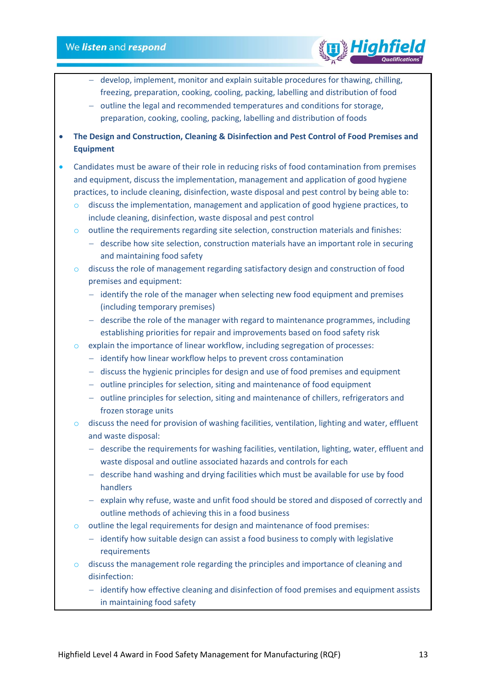- − develop, implement, monitor and explain suitable procedures for thawing, chilling, freezing, preparation, cooking, cooling, packing, labelling and distribution of food
- − outline the legal and recommended temperatures and conditions for storage, preparation, cooking, cooling, packing, labelling and distribution of foods
- **The Design and Construction, Cleaning & Disinfection and Pest Control of Food Premises and Equipment**
- Candidates must be aware of their role in reducing risks of food contamination from premises and equipment, discuss the implementation, management and application of good hygiene practices, to include cleaning, disinfection, waste disposal and pest control by being able to:
	- $\circ$  discuss the implementation, management and application of good hygiene practices, to include cleaning, disinfection, waste disposal and pest control
	- $\circ$  outline the requirements regarding site selection, construction materials and finishes:
		- − describe how site selection, construction materials have an important role in securing and maintaining food safety
	- $\circ$  discuss the role of management regarding satisfactory design and construction of food premises and equipment:
		- − identify the role of the manager when selecting new food equipment and premises (including temporary premises)
		- − describe the role of the manager with regard to maintenance programmes, including establishing priorities for repair and improvements based on food safety risk
	- $\circ$  explain the importance of linear workflow, including segregation of processes:
		- − identify how linear workflow helps to prevent cross contamination
		- − discuss the hygienic principles for design and use of food premises and equipment
		- − outline principles for selection, siting and maintenance of food equipment
		- − outline principles for selection, siting and maintenance of chillers, refrigerators and frozen storage units
	- o discuss the need for provision of washing facilities, ventilation, lighting and water, effluent and waste disposal:
		- − describe the requirements for washing facilities, ventilation, lighting, water, effluent and waste disposal and outline associated hazards and controls for each
		- − describe hand washing and drying facilities which must be available for use by food handlers
		- − explain why refuse, waste and unfit food should be stored and disposed of correctly and outline methods of achieving this in a food business
	- o outline the legal requirements for design and maintenance of food premises:
		- − identify how suitable design can assist a food business to comply with legislative requirements
	- o discuss the management role regarding the principles and importance of cleaning and disinfection:
		- − identify how effective cleaning and disinfection of food premises and equipment assists in maintaining food safety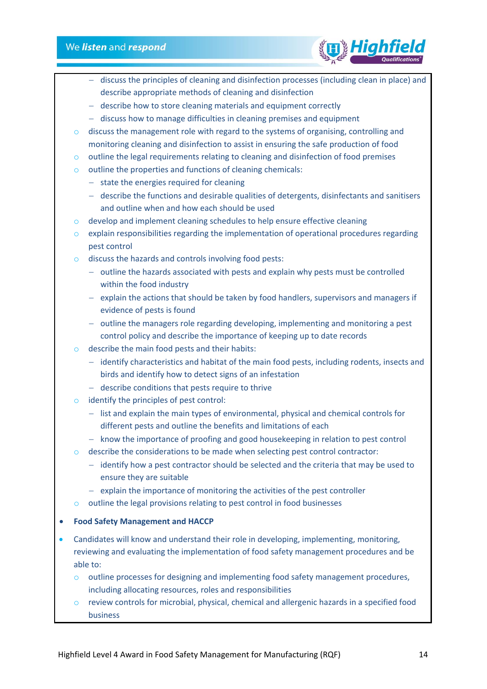

- − discuss the principles of cleaning and disinfection processes (including clean in place) and describe appropriate methods of cleaning and disinfection
- − describe how to store cleaning materials and equipment correctly
- − discuss how to manage difficulties in cleaning premises and equipment
- o discuss the management role with regard to the systems of organising, controlling and monitoring cleaning and disinfection to assist in ensuring the safe production of food
- o outline the legal requirements relating to cleaning and disinfection of food premises
- o outline the properties and functions of cleaning chemicals:
	- − state the energies required for cleaning
	- − describe the functions and desirable qualities of detergents, disinfectants and sanitisers and outline when and how each should be used
- o develop and implement cleaning schedules to help ensure effective cleaning
- $\circ$  explain responsibilities regarding the implementation of operational procedures regarding pest control
- o discuss the hazards and controls involving food pests:
	- − outline the hazards associated with pests and explain why pests must be controlled within the food industry
	- − explain the actions that should be taken by food handlers, supervisors and managers if evidence of pests is found
	- − outline the managers role regarding developing, implementing and monitoring a pest control policy and describe the importance of keeping up to date records
- o describe the main food pests and their habits:
	- − identify characteristics and habitat of the main food pests, including rodents, insects and birds and identify how to detect signs of an infestation
	- − describe conditions that pests require to thrive
- o identify the principles of pest control:
	- − list and explain the main types of environmental, physical and chemical controls for different pests and outline the benefits and limitations of each
	- − know the importance of proofing and good housekeeping in relation to pest control
- o describe the considerations to be made when selecting pest control contractor:
	- − identify how a pest contractor should be selected and the criteria that may be used to ensure they are suitable
	- − explain the importance of monitoring the activities of the pest controller
- o outline the legal provisions relating to pest control in food businesses

### • **Food Safety Management and HACCP**

- Candidates will know and understand their role in developing, implementing, monitoring, reviewing and evaluating the implementation of food safety management procedures and be able to:
	- o outline processes for designing and implementing food safety management procedures, including allocating resources, roles and responsibilities
	- o review controls for microbial, physical, chemical and allergenic hazards in a specified food business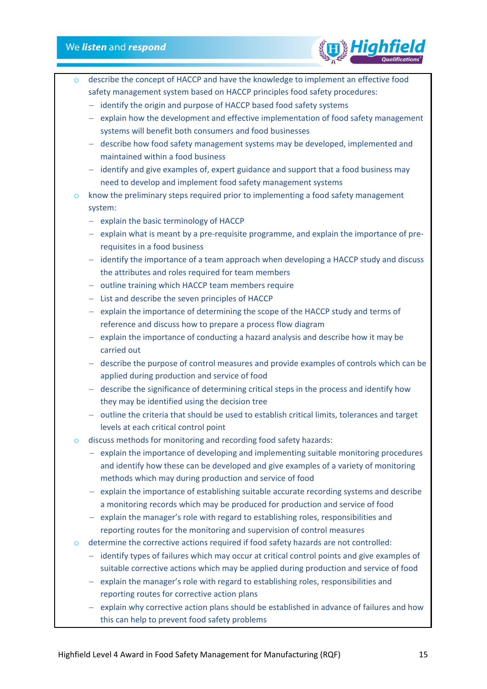

- describe the concept of HACCP and have the knowledge to implement an effective food safety management system based on HACCP principles food safety procedures:
	- − identify the origin and purpose of HACCP based food safety systems
	- − explain how the development and effective implementation of food safety management systems will benefit both consumers and food businesses
	- − describe how food safety management systems may be developed, implemented and maintained within a food business
	- − identify and give examples of, expert guidance and support that a food business may need to develop and implement food safety management systems
- $\circ$  know the preliminary steps required prior to implementing a food safety management system:
	- − explain the basic terminology of HACCP
	- − explain what is meant by a pre-requisite programme, and explain the importance of prerequisites in a food business
	- − identify the importance of a team approach when developing a HACCP study and discuss the attributes and roles required for team members
	- − outline training which HACCP team members require
	- − List and describe the seven principles of HACCP
	- − explain the importance of determining the scope of the HACCP study and terms of reference and discuss how to prepare a process flow diagram
	- − explain the importance of conducting a hazard analysis and describe how it may be carried out
	- − describe the purpose of control measures and provide examples of controls which can be applied during production and service of food
	- − describe the significance of determining critical steps in the process and identify how they may be identified using the decision tree
	- − outline the criteria that should be used to establish critical limits, tolerances and target levels at each critical control point
- o discuss methods for monitoring and recording food safety hazards:
	- − explain the importance of developing and implementing suitable monitoring procedures and identify how these can be developed and give examples of a variety of monitoring methods which may during production and service of food
	- − explain the importance of establishing suitable accurate recording systems and describe a monitoring records which may be produced for production and service of food
	- − explain the manager's role with regard to establishing roles, responsibilities and reporting routes for the monitoring and supervision of control measures
- o determine the corrective actions required if food safety hazards are not controlled:
	- − identify types of failures which may occur at critical control points and give examples of suitable corrective actions which may be applied during production and service of food
	- − explain the manager's role with regard to establishing roles, responsibilities and reporting routes for corrective action plans
	- − explain why corrective action plans should be established in advance of failures and how this can help to prevent food safety problems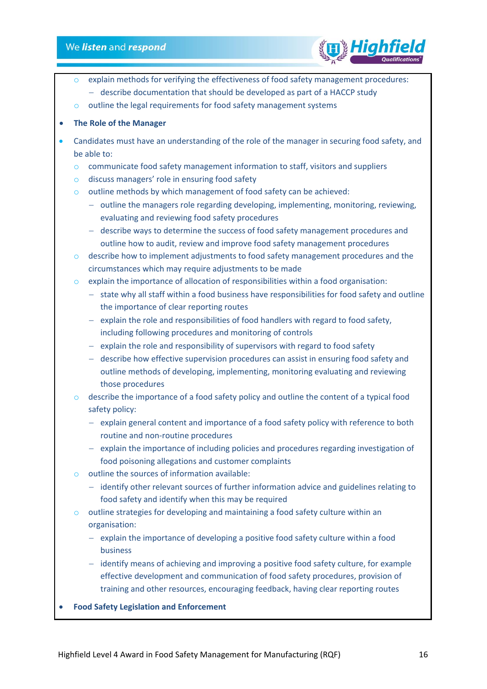

- explain methods for verifying the effectiveness of food safety management procedures:
	- − describe documentation that should be developed as part of a HACCP study
- o outline the legal requirements for food safety management systems

### • **The Role of the Manager**

- Candidates must have an understanding of the role of the manager in securing food safety, and be able to:
	- $\circ$  communicate food safety management information to staff, visitors and suppliers
	- o discuss managers' role in ensuring food safety
	- o outline methods by which management of food safety can be achieved:
		- − outline the managers role regarding developing, implementing, monitoring, reviewing, evaluating and reviewing food safety procedures
		- − describe ways to determine the success of food safety management procedures and outline how to audit, review and improve food safety management procedures
	- $\circ$  describe how to implement adjustments to food safety management procedures and the circumstances which may require adjustments to be made
	- o explain the importance of allocation of responsibilities within a food organisation:
		- − state why all staff within a food business have responsibilities for food safety and outline the importance of clear reporting routes
		- − explain the role and responsibilities of food handlers with regard to food safety, including following procedures and monitoring of controls
		- − explain the role and responsibility of supervisors with regard to food safety
		- − describe how effective supervision procedures can assist in ensuring food safety and outline methods of developing, implementing, monitoring evaluating and reviewing those procedures
	- $\circ$  describe the importance of a food safety policy and outline the content of a typical food safety policy:
		- − explain general content and importance of a food safety policy with reference to both routine and non-routine procedures
		- − explain the importance of including policies and procedures regarding investigation of food poisoning allegations and customer complaints
	- $\circ$  outline the sources of information available:
		- − identify other relevant sources of further information advice and guidelines relating to food safety and identify when this may be required
	- $\circ$  outline strategies for developing and maintaining a food safety culture within an organisation:
		- − explain the importance of developing a positive food safety culture within a food business
		- − identify means of achieving and improving a positive food safety culture, for example effective development and communication of food safety procedures, provision of training and other resources, encouraging feedback, having clear reporting routes
- **Food Safety Legislation and Enforcement**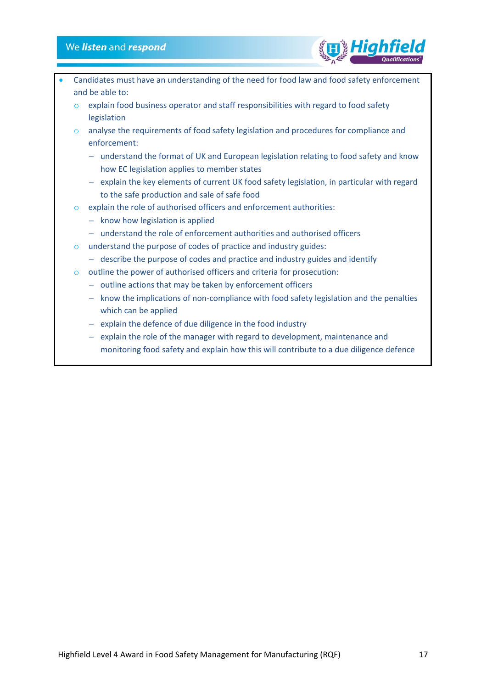- Candidates must have an understanding of the need for food law and food safety enforcement and be able to: o explain food business operator and staff responsibilities with regard to food safety legislation o analyse the requirements of food safety legislation and procedures for compliance and enforcement: − understand the format of UK and European legislation relating to food safety and know how EC legislation applies to member states − explain the key elements of current UK food safety legislation, in particular with regard to the safe production and sale of safe food o explain the role of authorised officers and enforcement authorities: − know how legislation is applied − understand the role of enforcement authorities and authorised officers o understand the purpose of codes of practice and industry guides:
	- − describe the purpose of codes and practice and industry guides and identify
	- o outline the power of authorised officers and criteria for prosecution:
		- − outline actions that may be taken by enforcement officers
		- − know the implications of non-compliance with food safety legislation and the penalties which can be applied
		- − explain the defence of due diligence in the food industry
		- − explain the role of the manager with regard to development, maintenance and monitoring food safety and explain how this will contribute to a due diligence defence